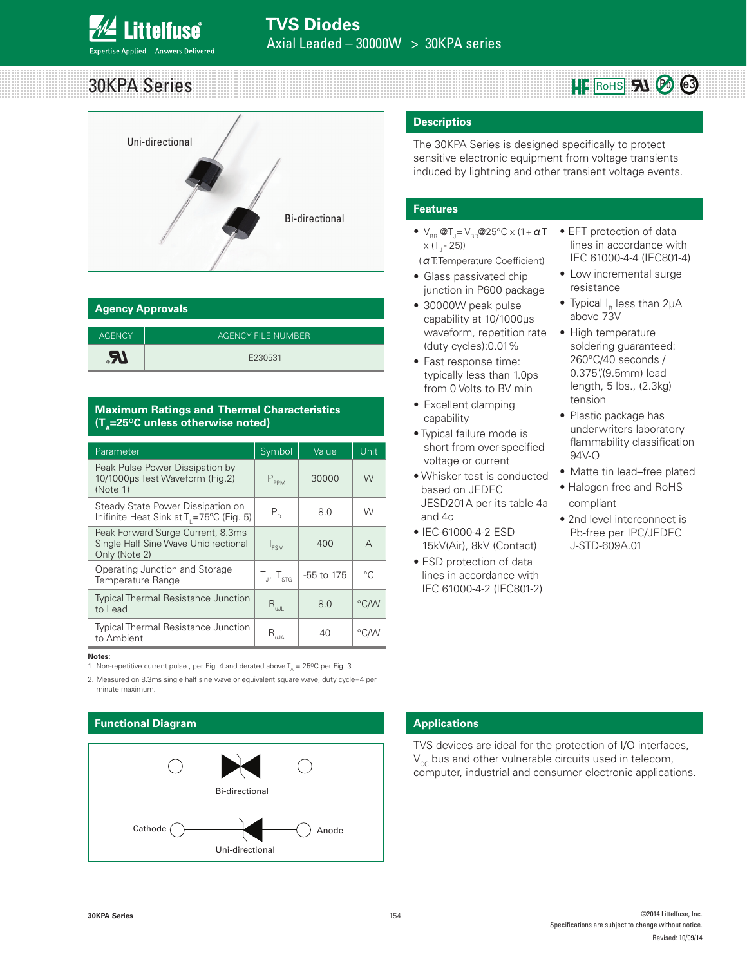

# 30KPA Series



| <b>Agency Approvals</b> |                    |  |  |  |
|-------------------------|--------------------|--|--|--|
| <b>AGENCY</b>           | AGENCY FILE NUMBER |  |  |  |
| $R_{\circ}$             | E230531            |  |  |  |

### **Maximum Ratings and Thermal Characteristics (T<sub>A</sub>=25<sup>o</sup>C unless otherwise noted)**

| Parameter                                                                                  | Symbol                       | Value      | Unit         |
|--------------------------------------------------------------------------------------------|------------------------------|------------|--------------|
| Peak Pulse Power Dissipation by<br>10/1000us Test Waveform (Fig.2)<br>(Note 1)             | $P_{PPM}$                    | 30000      | W            |
| Steady State Power Dissipation on<br>Inifinite Heat Sink at T <sub>1</sub> =75°C (Fig. 5)  | $P_{\scriptscriptstyle D}$   | 8.0        | W            |
| Peak Forward Surge Current, 8.3ms<br>Single Half Sine Wave Unidirectional<br>Only (Note 2) | I <sub>ESM</sub>             | 400        | А            |
| Operating Junction and Storage<br><b>Temperature Range</b>                                 | $T_{\rm H}$ , $T_{\rm strG}$ | -55 to 175 | $^{\circ}$ C |
| <b>Typical Thermal Resistance Junction</b><br>to Lead                                      | $R_{\text{uJL}}$             | 8.0        | °C/W         |
| <b>Typical Thermal Resistance Junction</b><br>to Ambient                                   | R<br>u.JA                    | 40         | °CM          |

### **Notes:**

1. Non-repetitive current pulse, per Fig. 4 and derated above  $T_A = 25^{\circ}C$  per Fig. 3.

2. Measured on 8.3ms single half sine wave or equivalent square wave, duty cycle=4 per minute maximum.

### **Functional Diagram**



### **Descriptios**

The 30KPA Series is designed specifically to protect sensitive electronic equipment from voltage transients induced by lightning and other transient voltage events.

### **Features**

- $V_{BR}$  @T<sub>J</sub>=  $V_{BR}$ @25°C x (1+  $a$  T  $x (T - 25)$
- (αT:Temperature Coefficient)
- Glass passivated chip junction in P600 package
- 30000W peak pulse capability at 10/1000μs waveform, repetition rate (duty cycles):0.01%
- Fast response time: typically less than 1.0ps from 0 Volts to BV min
- Excellent clamping capability
- Typical failure mode is short from over-specified voltage or current
- Whisker test is conducted based on JEDEC JESD201A per its table 4a and 4c
- IEC-61000-4-2 ESD 15kV(Air), 8kV (Contact)
- ESD protection of data lines in accordance with IEC 61000-4-2 (IEC801-2)

• EFT protection of data lines in accordance with IEC 61000-4-4 (IEC801-4)

 $HF$  RoHS  $\mathbf{S}$ <sup> $\mathbf{O}$ </sub>  $\mathbf{O}$ </sup>

- Low incremental surge resistance
- Typical I $_{\textrm{\tiny{R}}}$  less than 2µA above 73V
- High temperature soldering guaranteed: 260°C/40 seconds / 0.375",(9.5mm) lead length, 5 lbs., (2.3kg) tension
- Plastic package has underwriters laboratory flammability classification 94V-O
- Matte tin lead–free plated
- Halogen free and RoHS compliant
- 2nd level interconnect is Pb-free per IPC/JEDEC J-STD-609A.01

### **Applications**

TVS devices are ideal for the protection of I/O interfaces,  $V_{cc}$  bus and other vulnerable circuits used in telecom, computer, industrial and consumer electronic applications.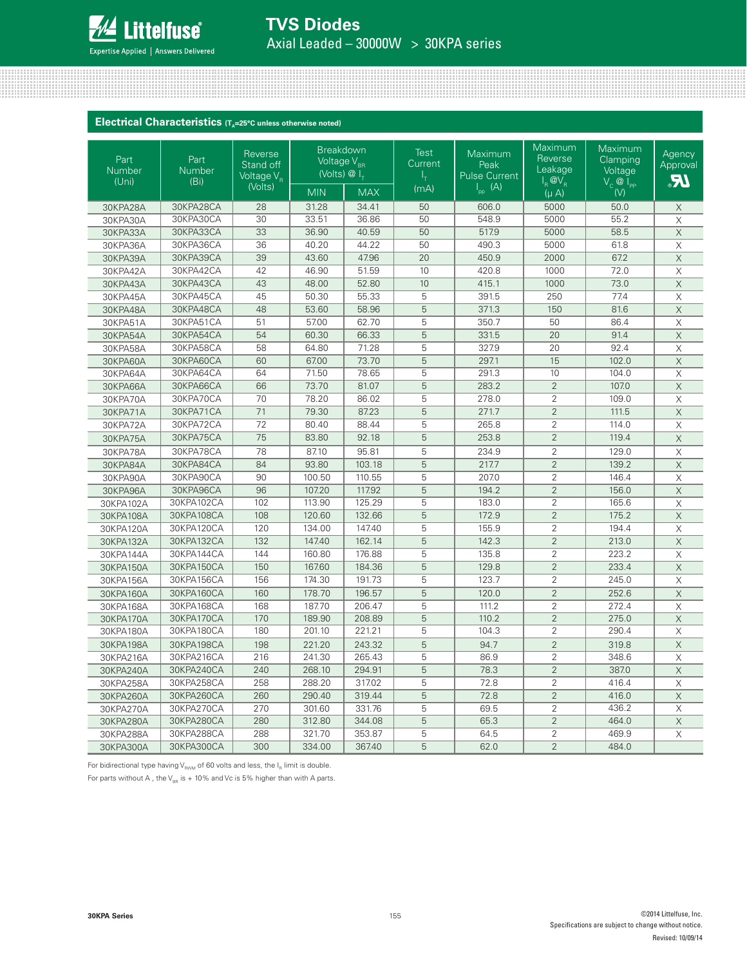

### **Electrical Characteristics** (T<sub>A</sub>=25°C unless otherwise noted)

| Part<br>Number<br>(Uni) | Part<br>Number<br>(B <sub>i</sub> ) | Reverse<br>Stand off<br>Voltage V <sub>R</sub> | <b>Breakdown</b><br>Voltage V <sub>BR</sub><br>(Volts) @ L |            | <b>Test</b><br>Current<br>ı+ | Maximum<br>Peak<br><b>Pulse Current</b> | Maximum<br>Reverse<br>Leakage<br>$I_R$ @ $V_R$ | Maximum<br>Clamping<br>Voltage<br>$V_c$ $\overline{\omega}$ $I_{\text{PP}}$ | Agency<br>Approval<br><b>JR</b> |
|-------------------------|-------------------------------------|------------------------------------------------|------------------------------------------------------------|------------|------------------------------|-----------------------------------------|------------------------------------------------|-----------------------------------------------------------------------------|---------------------------------|
|                         |                                     | (Volts)                                        | <b>MIN</b>                                                 | <b>MAX</b> | (mA)                         | $\overline{\mathsf{I}_{\text{pp}}(A)}$  | $(\mu A)$                                      | (V)                                                                         |                                 |
| 30KPA28A                | 30KPA28CA                           | 28                                             | 31.28                                                      | 34.41      | 50                           | 606.0                                   | 5000                                           | 50.0                                                                        | X                               |
| 30KPA30A                | 30KPA30CA                           | 30                                             | 33.51                                                      | 36.86      | 50                           | 548.9                                   | 5000                                           | 55.2                                                                        | $\times$                        |
| 30KPA33A                | 30KPA33CA                           | 33                                             | 36.90                                                      | 40.59      | 50                           | 517.9                                   | 5000                                           | 58.5                                                                        | $\overline{X}$                  |
| 30KPA36A                | 30KPA36CA                           | 36                                             | 40.20                                                      | 44.22      | 50                           | 490.3                                   | 5000                                           | 61.8                                                                        | $\overline{\mathsf{X}}$         |
| 30KPA39A                | 30KPA39CA                           | 39                                             | 43.60                                                      | 47.96      | 20                           | 450.9                                   | 2000                                           | 67.2                                                                        | $\overline{X}$                  |
| 30KPA42A                | 30KPA42CA                           | 42                                             | 46.90                                                      | 51.59      | 10                           | 420.8                                   | 1000                                           | 72.0                                                                        | X                               |
| 30KPA43A                | 30KPA43CA                           | 43                                             | 48.00                                                      | 52.80      | 10                           | 415.1                                   | 1000                                           | 73.0                                                                        | $\overline{\mathsf{x}}$         |
| 30KPA45A                | 30KPA45CA                           | 45                                             | 50.30                                                      | 55.33      | 5                            | 391.5                                   | 250                                            | 77.4                                                                        | X                               |
| 30KPA48A                | 30KPA48CA                           | 48                                             | 53.60                                                      | 58.96      | 5                            | 371.3                                   | 150                                            | 81.6                                                                        | $\overline{X}$                  |
| 30KPA51A                | 30KPA51CA                           | 51                                             | 57.00                                                      | 62.70      | 5                            | 350.7                                   | 50                                             | 86.4                                                                        | $\overline{X}$                  |
| 30KPA54A                | 30KPA54CA                           | 54                                             | 60.30                                                      | 66.33      | 5                            | 331.5                                   | 20                                             | 91.4                                                                        | $\overline{\mathsf{X}}$         |
| 30KPA58A                | 30KPA58CA                           | 58                                             | 64.80                                                      | 71.28      | 5                            | 327.9                                   | 20                                             | 92.4                                                                        | $\mathsf X$                     |
| 30KPA60A                | 30KPA60CA                           | 60                                             | 67.00                                                      | 73.70      | 5                            | 297.1                                   | 15                                             | 102.0                                                                       | $\overline{\mathsf{X}}$         |
| 30KPA64A                | 30KPA64CA                           | 64                                             | 71.50                                                      | 78.65      | 5                            | 291.3                                   | 10                                             | 104.0                                                                       | X                               |
| 30KPA66A                | 30KPA66CA                           | 66                                             | 73.70                                                      | 81.07      | 5                            | 283.2                                   | $\overline{2}$                                 | 107.0                                                                       | $\mathsf X$                     |
| 30KPA70A                | 30KPA70CA                           | 70                                             | 78.20                                                      | 86.02      | 5                            | 278.0                                   | $\overline{2}$                                 | 109.0                                                                       | $\times$                        |
| 30KPA71A                | 30KPA71CA                           | 71                                             | 79.30                                                      | 87.23      | 5                            | 271.7                                   | $\overline{2}$                                 | 111.5                                                                       | $\mathsf X$                     |
| 30KPA72A                | 30KPA72CA                           | 72                                             | 80.40                                                      | 88.44      | 5                            | 265.8                                   | $\overline{2}$                                 | 114.0                                                                       | X                               |
| 30KPA75A                | 30KPA75CA                           | 75                                             | 83.80                                                      | 92.18      | 5                            | 253.8                                   | $\overline{2}$                                 | 119.4                                                                       | $\times$                        |
| 30KPA78A                | 30KPA78CA                           | 78                                             | 87.10                                                      | 95.81      | 5                            | 234.9                                   | $\overline{2}$                                 | 129.0                                                                       | $\mathsf X$                     |
| 30KPA84A                | 30KPA84CA                           | 84                                             | 93.80                                                      | 103.18     | 5                            | 217.7                                   | $\overline{2}$                                 | 139.2                                                                       | $\overline{\mathsf{x}}$         |
| 30KPA90A                | 30KPA90CA                           | 90                                             | 100.50                                                     | 110.55     | 5                            | 207.0                                   | $\overline{2}$                                 | 146.4                                                                       | X                               |
| 30KPA96A                | 30KPA96CA                           | 96                                             | 107.20                                                     | 117.92     | 5                            | 194.2                                   | $\overline{2}$                                 | 156.0                                                                       | $\mathsf X$                     |
| 30KPA102A               | 30KPA102CA                          | 102                                            | 113.90                                                     | 125.29     | 5                            | 183.0                                   | $\overline{2}$                                 | 165.6                                                                       | X                               |
| 30KPA108A               | 30KPA108CA                          | 108                                            | 120.60                                                     | 132.66     | 5                            | 172.9                                   | $\overline{2}$                                 | 175.2                                                                       | $\mathsf X$                     |
| 30KPA120A               | 30KPA120CA                          | 120                                            | 134.00                                                     | 147.40     | 5                            | 155.9                                   | $\overline{2}$                                 | 194.4                                                                       | $\times$                        |
| 30KPA132A               | 30KPA132CA                          | 132                                            | 147.40                                                     | 162.14     | 5                            | 142.3                                   | $\overline{2}$                                 | 213.0                                                                       | $\mathsf X$                     |
| 30KPA144A               | 30KPA144CA                          | 144                                            | 160.80                                                     | 176.88     | 5                            | 135.8                                   | $\overline{2}$                                 | 223.2                                                                       | $\times$                        |
| 30KPA150A               | 30KPA150CA                          | 150                                            | 167.60                                                     | 184.36     | 5                            | 129.8                                   | $\overline{2}$                                 | 233.4                                                                       | $\overline{\mathsf{X}}$         |
| 30KPA156A               | 30KPA156CA                          | 156                                            | 174.30                                                     | 191.73     | 5                            | 123.7                                   | $\overline{2}$                                 | 245.0                                                                       | X                               |
| 30KPA160A               | 30KPA160CA                          | 160                                            | 178.70                                                     | 196.57     | 5                            | 120.0                                   | $\overline{2}$                                 | 252.6                                                                       | $\overline{\mathsf{X}}$         |
| 30KPA168A               | 30KPA168CA                          | 168                                            | 187.70                                                     | 206.47     | 5                            | 111.2                                   | $\overline{2}$                                 | 272.4                                                                       | $\overline{X}$                  |
| 30KPA170A               | 30KPA170CA                          | 170                                            | 189.90                                                     | 208.89     | 5                            | 110.2                                   | $\overline{2}$                                 | 275.0                                                                       | $\overline{X}$                  |
| 30KPA180A               | 30KPA180CA                          | 180                                            | 201.10                                                     | 221.21     | 5                            | 104.3                                   | $\overline{2}$                                 | 290.4                                                                       | X                               |
| 30KPA198A               | 30KPA198CA                          | 198                                            | 221.20                                                     | 243.32     | 5                            | 94.7                                    | 2                                              | 319.8                                                                       | $\overline{\mathsf{X}}$         |
| 30KPA216A               | 30KPA216CA                          | 216                                            | 241.30                                                     | 265.43     | 5                            | 86.9                                    | $\overline{2}$                                 | 348.6                                                                       | X                               |
| 30KPA240A               | 30KPA240CA                          | 240                                            | 268.10                                                     | 294.91     | $\overline{5}$               | 78.3                                    | $\overline{2}$                                 | 387.0                                                                       | $\times$                        |
| 30KPA258A               | 30KPA258CA                          | 258                                            | 288.20                                                     | 317.02     | 5                            | 72.8                                    | $\overline{2}$                                 | 416.4                                                                       | $\times$                        |
| 30KPA260A               | 30KPA260CA                          | 260                                            | 290.40                                                     | 319.44     | 5                            | 72.8                                    | $\overline{2}$                                 | 416.0                                                                       | $\times$                        |
| 30KPA270A               | 30KPA270CA                          | 270                                            | 301.60                                                     | 331.76     | 5                            | 69.5                                    | $\sqrt{2}$                                     | 436.2                                                                       | $\mathsf X$                     |
| 30KPA280A               | 30KPA280CA                          | 280                                            | 312.80                                                     | 344.08     | $\overline{5}$               | 65.3                                    | $\overline{2}$                                 | 464.0                                                                       | $\overline{X}$                  |
| 30KPA288A               | 30KPA288CA                          | 288                                            | 321.70                                                     | 353.87     | 5                            | 64.5                                    | $\overline{2}$                                 | 469.9                                                                       | X                               |
| 30KPA300A               | 30KPA300CA                          | 300                                            | 334.00                                                     | 367.40     | 5                            | 62.0                                    | $\overline{2}$                                 | 484.0                                                                       |                                 |

For bidirectional type having  $V_{\text{RWM}}$  of 60 volts and less, the  $I_R$  limit is double.

For parts without A, the  $V_{BR}$  is + 10% and Vc is 5% higher than with A parts.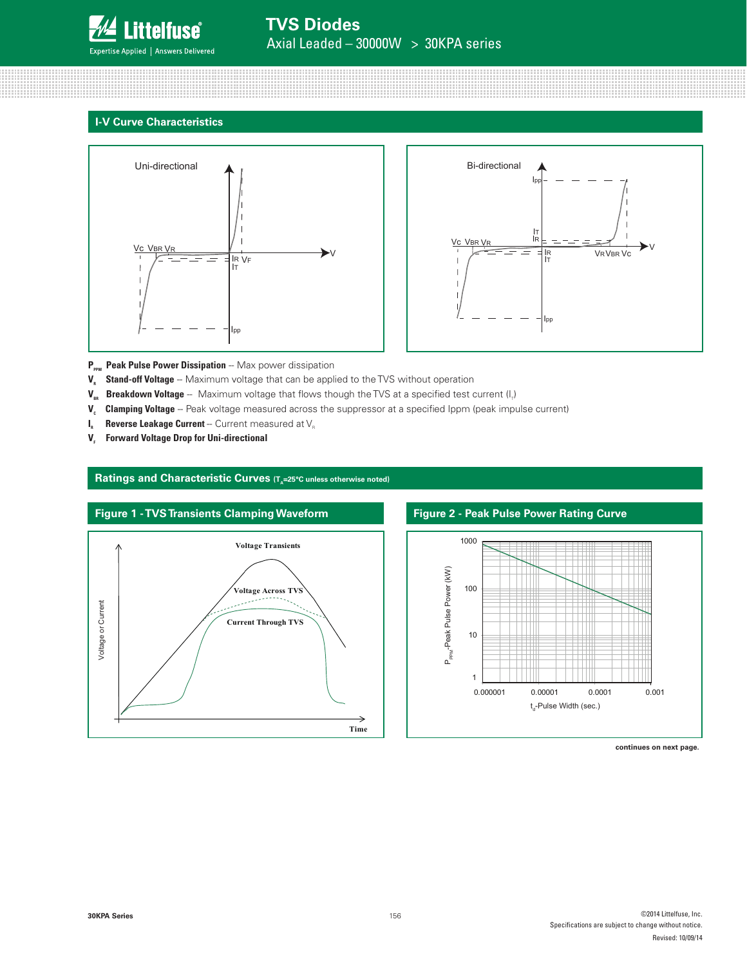

### **I-V Curve Characteristics**





**P<sub>PPM</sub>** Peak Pulse Power Dissipation -- Max power dissipation

- **V<sub>c</sub>** Stand-off Voltage -- Maximum voltage that can be applied to the TVS without operation
- **V<sub>BR</sub> Breakdown Voltage** -- Maximum voltage that flows though the TVS at a specified test current (I<sub>r</sub>)
- V<sub>c</sub> Clamping Voltage -- Peak voltage measured across the suppressor at a specified Ippm (peak impulse current)
- $I_{R}$  **Reverse Leakage Current** -- Current measured at  $V_{R}$
- **V.** Forward Voltage Drop for Uni-directional



Ratings and Characteristic Curves (T<sub>A</sub>=25°C unless otherwise noted)

# **Figure 2 - Peak Pulse Power Rating Curve**



**continues on next page.**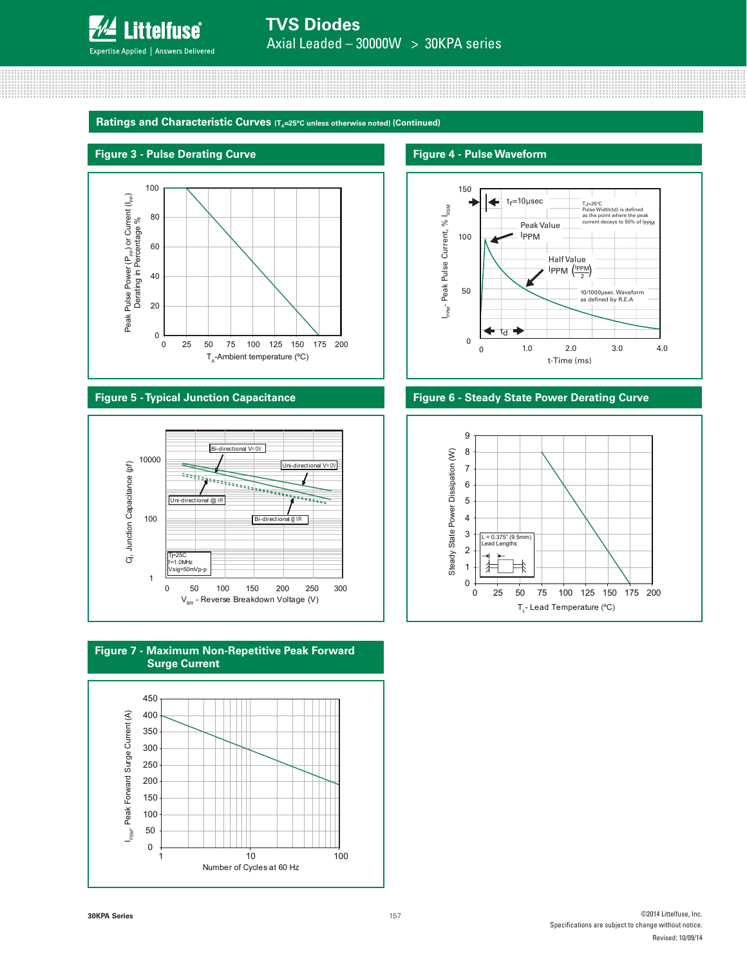

Ratings and Characteristic Curves (T<sub>A</sub>=25°C unless otherwise noted) (Continued)

### **Figure 3 - Pulse Derating Curve Figure 4 - Pulse Waveform**











### **Figure 5 - Typical Junction Capacitance Figure 6 - Steady State Power Derating Curve**

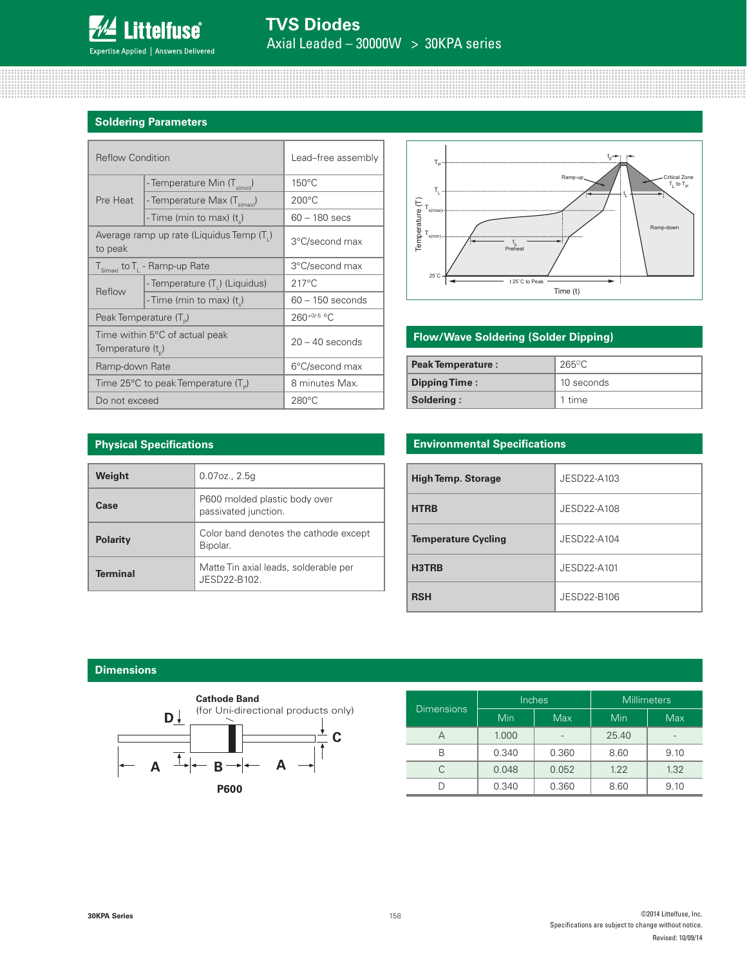

### **Soldering Parameters**

| <b>Reflow Condition</b>            |                                                 | Lead-free assembly |  |
|------------------------------------|-------------------------------------------------|--------------------|--|
|                                    | - Temperature Min (T <sub>s(min</sub> )         | $150^{\circ}$ C    |  |
| Pre Heat                           | - Temperature Max (T <sub>s(max)</sub> )        | $200^{\circ}$ C    |  |
|                                    | - Time (min to max) (t)                         | $60 - 180$ secs    |  |
| to peak                            | Average ramp up rate (Liquidus Temp (T.)        | 3°C/second max     |  |
|                                    | $T_{S(max)}$ to $T_{L}$ - Ramp-up Rate          | 3°C/second max     |  |
|                                    | - Temperature (T <sub>1</sub> ) (Liquidus)      | $217^{\circ}$ C    |  |
| Reflow                             | - Time (min to max) (t)                         | $60 - 150$ seconds |  |
| Peak Temperature (T <sub>p</sub> ) |                                                 | 260+0/-5 °C        |  |
| Temperature $(t_{n})$              | Time within 5°C of actual peak                  | $20 - 40$ seconds  |  |
| Ramp-down Rate                     |                                                 | 6°C/second max     |  |
|                                    | Time 25°C to peak Temperature (T <sub>p</sub> ) | 8 minutes Max.     |  |
| Do not exceed                      |                                                 | $280^{\circ}$ C    |  |



## **Flow/Wave Soldering (Solder Dipping)**

| <b>Peak Temperature:</b> | $265\degree C$ |
|--------------------------|----------------|
| <b>Dipping Time:</b>     | 10 seconds     |
| Soldering:               | 1 time         |

### **Physical Specifications**

| Weight          | $0.07$ oz., $2.5g$                                    |
|-----------------|-------------------------------------------------------|
| Case            | P600 molded plastic body over<br>passivated junction. |
| <b>Polarity</b> | Color band denotes the cathode except<br>Bipolar.     |
| <b>Terminal</b> | Matte Tin axial leads, solderable per<br>JESD22-B102. |

### **Environmental Specifications**

| <b>High Temp. Storage</b>  | JESD22-A103 |
|----------------------------|-------------|
| <b>HTRB</b>                | JESD22-A108 |
| <b>Temperature Cycling</b> | JFSD22-A104 |
| H3TRB                      | JESD22-A101 |
| <b>RSH</b>                 | JESD22-B106 |

### **Dimensions**



|                   |       | Inches     | Millimeters |            |  |
|-------------------|-------|------------|-------------|------------|--|
| <b>Dimensions</b> | Min   | <b>Max</b> | Min         | <b>Max</b> |  |
|                   | 1.000 |            | 25.40       |            |  |
| R                 | 0.340 | 0.360      | 8.60        | 9.10       |  |
|                   | 0.048 | 0.052      | 1.22        | 1.32       |  |
|                   | 0.340 | 0.360      | 8.60        | 9.10       |  |